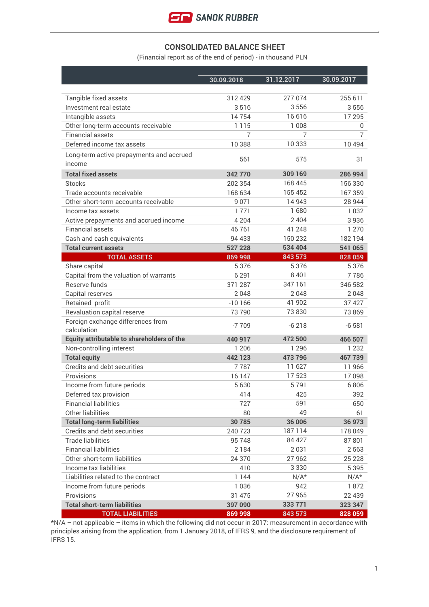

#### **CONSOLIDATED BALANCE SHEET**

(Financial report as of the end of period) - in thousand PLN

| 30.09.2018 | 31.12.2017                                                                                                                                                                                                              | 30.09.2017                                                                                                                                                                                                                     |
|------------|-------------------------------------------------------------------------------------------------------------------------------------------------------------------------------------------------------------------------|--------------------------------------------------------------------------------------------------------------------------------------------------------------------------------------------------------------------------------|
|            |                                                                                                                                                                                                                         | 255 611                                                                                                                                                                                                                        |
|            |                                                                                                                                                                                                                         | 3556                                                                                                                                                                                                                           |
|            |                                                                                                                                                                                                                         | 17 295                                                                                                                                                                                                                         |
|            |                                                                                                                                                                                                                         | 0                                                                                                                                                                                                                              |
| 7          | 7                                                                                                                                                                                                                       | $\overline{7}$                                                                                                                                                                                                                 |
| 10388      | 10 333                                                                                                                                                                                                                  | 10494                                                                                                                                                                                                                          |
|            |                                                                                                                                                                                                                         |                                                                                                                                                                                                                                |
|            |                                                                                                                                                                                                                         | 31                                                                                                                                                                                                                             |
| 342770     | 309 169                                                                                                                                                                                                                 | 286 994                                                                                                                                                                                                                        |
| 202 354    | 168 445                                                                                                                                                                                                                 | 156 330                                                                                                                                                                                                                        |
| 168 634    | 155 452                                                                                                                                                                                                                 | 167359                                                                                                                                                                                                                         |
| 9 0 7 1    | 14 943                                                                                                                                                                                                                  | 28 944                                                                                                                                                                                                                         |
| 1771       | 1680                                                                                                                                                                                                                    | 1032                                                                                                                                                                                                                           |
| 4 2 0 4    | 2 4 0 4                                                                                                                                                                                                                 | 3936                                                                                                                                                                                                                           |
| 46761      | 41 248                                                                                                                                                                                                                  | 1 2 7 0                                                                                                                                                                                                                        |
| 94 433     | 150 232                                                                                                                                                                                                                 | 182194                                                                                                                                                                                                                         |
| 527 228    | 534 404                                                                                                                                                                                                                 | 541 065                                                                                                                                                                                                                        |
| 869 998    | 843 573                                                                                                                                                                                                                 | 828 059                                                                                                                                                                                                                        |
| 5 3 7 6    | 5 3 7 6                                                                                                                                                                                                                 | 5 3 7 6                                                                                                                                                                                                                        |
| 6 2 9 1    | 8 4 0 1                                                                                                                                                                                                                 | 7786                                                                                                                                                                                                                           |
| 371 287    | 347 161                                                                                                                                                                                                                 | 346 582                                                                                                                                                                                                                        |
| 2048       | 2048                                                                                                                                                                                                                    | 2048                                                                                                                                                                                                                           |
| $-10166$   | 41 902                                                                                                                                                                                                                  | 37 4 27                                                                                                                                                                                                                        |
| 73790      | 73 830                                                                                                                                                                                                                  | 73 869                                                                                                                                                                                                                         |
|            |                                                                                                                                                                                                                         | $-6581$                                                                                                                                                                                                                        |
|            |                                                                                                                                                                                                                         |                                                                                                                                                                                                                                |
|            |                                                                                                                                                                                                                         | 466 507                                                                                                                                                                                                                        |
|            |                                                                                                                                                                                                                         | 1 2 3 2                                                                                                                                                                                                                        |
|            |                                                                                                                                                                                                                         | 467739                                                                                                                                                                                                                         |
|            |                                                                                                                                                                                                                         | 11966                                                                                                                                                                                                                          |
|            |                                                                                                                                                                                                                         | 17098                                                                                                                                                                                                                          |
|            |                                                                                                                                                                                                                         | 6806                                                                                                                                                                                                                           |
|            |                                                                                                                                                                                                                         | 392                                                                                                                                                                                                                            |
|            |                                                                                                                                                                                                                         | 650                                                                                                                                                                                                                            |
|            |                                                                                                                                                                                                                         | 61                                                                                                                                                                                                                             |
|            |                                                                                                                                                                                                                         | 36 973                                                                                                                                                                                                                         |
|            |                                                                                                                                                                                                                         | 178 049                                                                                                                                                                                                                        |
|            |                                                                                                                                                                                                                         | 87801                                                                                                                                                                                                                          |
|            |                                                                                                                                                                                                                         | 2 5 6 3                                                                                                                                                                                                                        |
|            |                                                                                                                                                                                                                         | 25 2 28                                                                                                                                                                                                                        |
|            |                                                                                                                                                                                                                         | 5 3 9 5<br>$N/A^*$                                                                                                                                                                                                             |
|            |                                                                                                                                                                                                                         | 1872                                                                                                                                                                                                                           |
|            |                                                                                                                                                                                                                         | 22 439                                                                                                                                                                                                                         |
|            |                                                                                                                                                                                                                         |                                                                                                                                                                                                                                |
| 397 090    | 333 771                                                                                                                                                                                                                 | 323 347                                                                                                                                                                                                                        |
|            | 312 429<br>3516<br>14754<br>1 1 1 5<br>561<br>$-7709$<br>440 917<br>1 2 0 6<br>442 123<br>7787<br>16 147<br>5630<br>414<br>727<br>80<br>30785<br>240 723<br>95748<br>2184<br>24 370<br>410<br>1 1 4 4<br>1036<br>31 475 | 277 074<br>3556<br>16616<br>1 0 0 8<br>575<br>$-6218$<br>472 500<br>1 2 9 6<br>473 796<br>11 627<br>17523<br>5791<br>425<br>591<br>49<br>36 006<br>187114<br>84 427<br>2 0 3 1<br>27 962<br>3 3 3 0<br>$N/A*$<br>942<br>27 965 |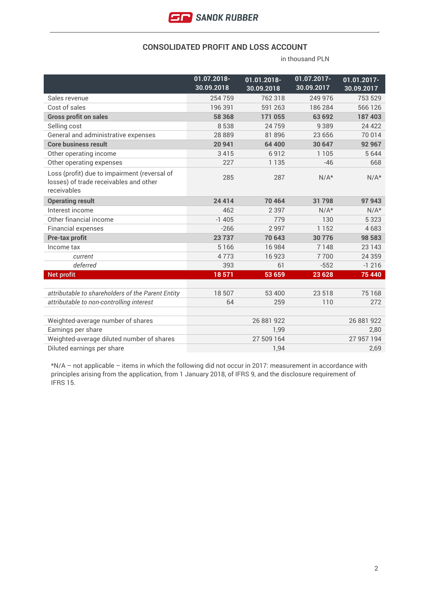

#### **CONSOLIDATED PROFIT AND LOSS ACCOUNT**

in thousand PLN

|                                                                                                       | 01.07.2018-<br>30.09.2018 | 01.01.2018-<br>30.09.2018 | 01.07.2017-<br>30.09.2017 | 01.01.2017-<br>30.09.2017 |
|-------------------------------------------------------------------------------------------------------|---------------------------|---------------------------|---------------------------|---------------------------|
| Sales revenue                                                                                         | 254759                    | 762 318                   | 249 976                   | 753 529                   |
| Cost of sales                                                                                         | 196 391                   | 591 263                   | 186 284                   | 566 126                   |
| <b>Gross profit on sales</b>                                                                          | 58 368                    | 171 055                   | 63 692                    | 187403                    |
| Selling cost                                                                                          | 8538                      | 24759                     | 9389                      | 24 4 22                   |
| General and administrative expenses                                                                   | 28 8 8 9                  | 81 896                    | 23 656                    | 70 014                    |
| <b>Core business result</b>                                                                           | 20 941                    | 64 400                    | 30 647                    | 92 967                    |
| Other operating income                                                                                | 3415                      | 6912                      | 1 1 0 5                   | 5 6 4 4                   |
| Other operating expenses                                                                              | 227                       | 1 1 3 5                   | $-46$                     | 668                       |
| Loss (profit) due to impairment (reversal of<br>losses) of trade receivables and other<br>receivables | 285                       | 287                       | $N/A*$                    | $N/A*$                    |
| <b>Operating result</b>                                                                               | 24 4 14                   | 70 464                    | 31798                     | 97 943                    |
| Interest income                                                                                       | 462                       | 2 3 9 7                   | $N/A*$                    | $N/A*$                    |
| Other financial income                                                                                | $-1405$                   | 779                       | 130                       | 5 3 2 3                   |
| <b>Financial expenses</b>                                                                             | $-266$                    | 2997                      | 1 1 5 2                   | 4683                      |
| <b>Pre-tax profit</b>                                                                                 | 23737                     | 70 643                    | 30 7 7 6                  | 98 583                    |
| Income tax                                                                                            | 5 1 6 6                   | 16 984                    | 7148                      | 23 143                    |
| current                                                                                               | 4773                      | 16923                     | 7700                      | 24 3 5 9                  |
| deferred                                                                                              | 393                       | 61                        | $-552$                    | $-1216$                   |
| <b>Net profit</b>                                                                                     | 18571                     | 53 659                    | 23 6 28                   | 75 440                    |
|                                                                                                       |                           |                           |                           |                           |
| attributable to shareholders of the Parent Entity                                                     | 18 507                    | 53 400                    | 23 518                    | 75 168                    |
| attributable to non-controlling interest                                                              | 64                        | 259                       | 110                       | 272                       |
|                                                                                                       |                           |                           |                           |                           |
| Weighted-average number of shares                                                                     | 26 881 922                |                           | 26 881 922                |                           |
| Earnings per share                                                                                    | 1,99                      |                           | 2,80<br>27 957 194        |                           |
| Weighted-average diluted number of shares<br>Diluted earnings per share                               | 27 509 164                |                           |                           |                           |
|                                                                                                       |                           | 1,94                      |                           | 2,69                      |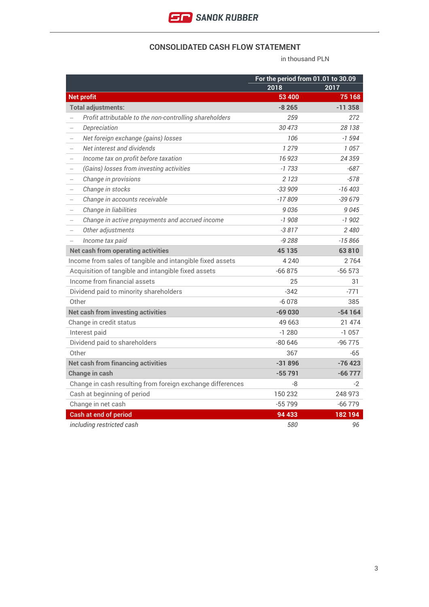

### **CONSOLIDATED CASH FLOW STATEMENT**

in thousand PLN

|                                                                             |          | For the period from 01.01 to 30.09 |  |  |
|-----------------------------------------------------------------------------|----------|------------------------------------|--|--|
|                                                                             | 2018     | 2017                               |  |  |
| <b>Net profit</b>                                                           | 53 400   | 75 168                             |  |  |
| <b>Total adjustments:</b>                                                   | $-8265$  | $-11358$                           |  |  |
| Profit attributable to the non-controlling shareholders                     | 259      | 272                                |  |  |
| Depreciation                                                                | 30473    | 28 138                             |  |  |
| Net foreign exchange (gains) losses                                         | 106      | $-1594$                            |  |  |
| Net interest and dividends                                                  | 1 2 7 9  | 1057                               |  |  |
| Income tax on profit before taxation<br>$\overline{\phantom{0}}$            | 16923    | 24 359                             |  |  |
| (Gains) losses from investing activities<br>$\qquad \qquad -$               | $-1733$  | $-687$                             |  |  |
| Change in provisions<br>$\qquad \qquad -$                                   | 2 1 2 3  | $-578$                             |  |  |
| Change in stocks<br>$\overline{\phantom{0}}$                                | $-33909$ | $-16403$                           |  |  |
| Change in accounts receivable                                               | $-17809$ | $-39679$                           |  |  |
| Change in liabilities                                                       | 9036     | 9045                               |  |  |
| Change in active prepayments and accrued income<br>$\overline{\phantom{0}}$ | $-1908$  | $-1902$                            |  |  |
| Other adjustments<br>$\overline{\phantom{0}}$                               | -3 817   | 2 4 8 0                            |  |  |
| Income tax paid                                                             | $-9288$  | $-15866$                           |  |  |
| <b>Net cash from operating activities</b>                                   | 45 135   | 63810                              |  |  |
| Income from sales of tangible and intangible fixed assets                   | 4 2 4 0  | 2764                               |  |  |
| Acquisition of tangible and intangible fixed assets                         | $-66875$ | $-56573$                           |  |  |
| Income from financial assets                                                | 25       | 31                                 |  |  |
| Dividend paid to minority shareholders                                      | $-342$   | -771                               |  |  |
| Other                                                                       | $-6078$  | 385                                |  |  |
| <b>Net cash from investing activities</b>                                   | $-69030$ | $-54164$                           |  |  |
| Change in credit status                                                     | 49 663   | 21 474                             |  |  |
| Interest paid                                                               | $-1280$  | $-1057$                            |  |  |
| Dividend paid to shareholders                                               | $-80646$ | -96 775                            |  |  |
| Other                                                                       | 367      | $-65$                              |  |  |
| <b>Net cash from financing activities</b>                                   | $-31896$ | $-76423$                           |  |  |
| Change in cash                                                              | $-55791$ | $-66777$                           |  |  |
| Change in cash resulting from foreign exchange differences                  | -8       | -2                                 |  |  |
| Cash at beginning of period                                                 | 150 232  | 248 973                            |  |  |
| Change in net cash                                                          | -55 799  | $-66779$                           |  |  |
| <b>Cash at end of period</b>                                                | 94 433   | 182194                             |  |  |
| including restricted cash                                                   | 580      | 96                                 |  |  |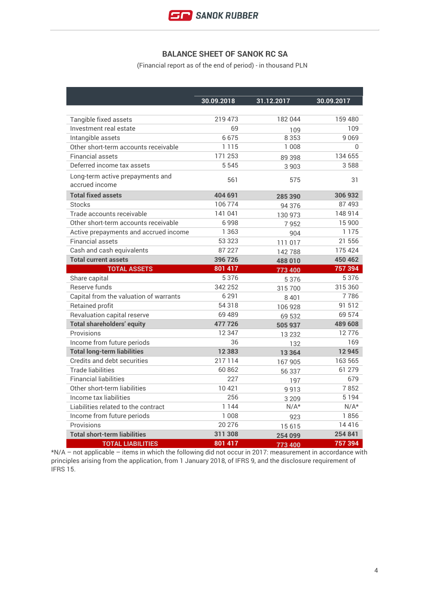

## **BALANCE SHEET OF SANOK RC SA**

(Financial report as of the end of period) - in thousand PLN

|                                                    | 30.09.2018 | 31.12.2017 | 30.09.2017 |
|----------------------------------------------------|------------|------------|------------|
|                                                    |            |            |            |
| Tangible fixed assets                              | 219 473    | 182044     | 159 480    |
| Investment real estate                             | 69         | 109        | 109        |
| Intangible assets                                  | 6675       | 8 3 5 3    | 9069       |
| Other short-term accounts receivable               | 1 1 1 5    | 1 0 0 8    | $\Omega$   |
| <b>Financial assets</b>                            | 171 253    | 89 398     | 134 655    |
| Deferred income tax assets                         | 5 5 4 5    | 3903       | 3588       |
| Long-term active prepayments and<br>accrued income | 561        | 575        | 31         |
| <b>Total fixed assets</b>                          | 404 691    | 285 390    | 306 932    |
| <b>Stocks</b>                                      | 106774     | 94 376     | 87 493     |
| Trade accounts receivable                          | 141 041    | 130 973    | 148 914    |
| Other short-term accounts receivable               | 6998       | 7952       | 15 900     |
| Active prepayments and accrued income              | 1 3 6 3    | 904        | 1 1 7 5    |
| <b>Financial assets</b>                            | 53 323     | 111 017    | 21 556     |
| Cash and cash equivalents                          | 87 227     | 142788     | 175 424    |
| <b>Total current assets</b>                        | 396 726    | 488 010    | 450 462    |
| <b>TOTAL ASSETS</b>                                | 801 417    | 773 400    | 757 394    |
| Share capital                                      | 5376       | 5376       | 5 3 7 6    |
| Reserve funds                                      | 342 252    | 315700     | 315 360    |
| Capital from the valuation of warrants             | 6 2 9 1    | 8401       | 7786       |
| Retained profit                                    | 54 318     | 106 928    | 91 512     |
| Revaluation capital reserve                        | 69 489     | 69 532     | 69 574     |
| <b>Total shareholders' equity</b>                  | 477726     | 505 937    | 489 608    |
| Provisions                                         | 12 3 4 7   | 13 2 3 2   | 12776      |
| Income from future periods                         | 36         | 132        | 169        |
| <b>Total long-term liabilities</b>                 | 12 3 8 3   | 13 3 64    | 12945      |
| Credits and debt securities                        | 217114     | 167905     | 163 565    |
| <b>Trade liabilities</b>                           | 60862      | 56 337     | 61 279     |
| <b>Financial liabilities</b>                       | 227        | 197        | 679        |
| Other short-term liabilities                       | 10421      | 9913       | 7852       |
| Income tax liabilities                             | 256        | 3 2 0 9    | 5194       |
| Liabilities related to the contract                | 1 1 4 4    | $N/A*$     | $N/A*$     |
| Income from future periods                         | 1 0 0 8    | 923        | 1856       |
| Provisions                                         | 20 276     | 15615      | 14416      |
| <b>Total short-term liabilities</b>                | 311 308    | 254 099    | 254 841    |
| <b>TOTAL LIABILITIES</b>                           | 801 417    | 773 400    | 757 394    |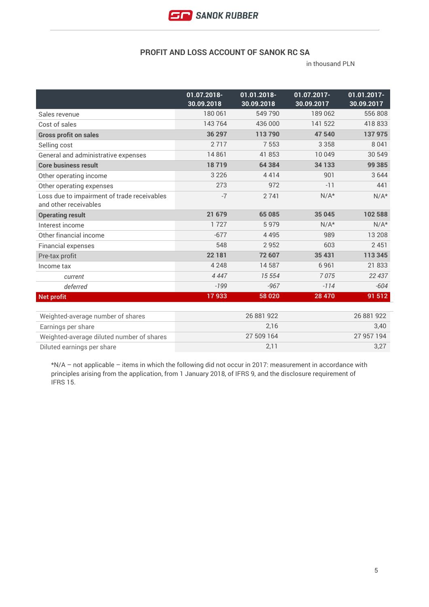

# **PROFIT AND LOSS ACCOUNT OF SANOK RC SA**

in thousand PLN

|                                                                      | 01.07.2018-<br>30.09.2018 | 01.01.2018-<br>30.09.2018 | 01.07.2017-<br>30.09.2017 | $01.01.2017 -$<br>30.09.2017 |
|----------------------------------------------------------------------|---------------------------|---------------------------|---------------------------|------------------------------|
| Sales revenue                                                        | 180 061                   | 549 790                   | 189 062                   | 556 808                      |
| Cost of sales                                                        | 143764                    | 436 000                   | 141 522                   | 418833                       |
| <b>Gross profit on sales</b>                                         | 36 297                    | 113790                    | 47 540                    | 137 975                      |
| Selling cost                                                         | 2717                      | 7553                      | 3 3 5 8                   | 8 0 4 1                      |
| General and administrative expenses                                  | 14861                     | 41 853                    | 10 049                    | 30 549                       |
| <b>Core business result</b>                                          | 18719                     | 64 384                    | 34 133                    | 99 385                       |
| Other operating income                                               | 3 2 2 6                   | 4414                      | 901                       | 3644                         |
| Other operating expenses                                             | 273                       | 972                       | $-11$                     | 441                          |
| Loss due to impairment of trade receivables<br>and other receivables | $-7$                      | 2741                      | $N/A*$                    | $N/A*$                       |
| <b>Operating result</b>                                              | 21 679                    | 65 085                    | 35 045                    | 102 588                      |
| Interest income                                                      | 1727                      | 5979                      | $N/A*$                    | $N/A*$                       |
| Other financial income                                               | $-677$                    | 4495                      | 989                       | 13 208                       |
| <b>Financial expenses</b>                                            | 548                       | 2952                      | 603                       | 2451                         |
| Pre-tax profit                                                       | 22 181                    | 72 607                    | 35 431                    | 113 345                      |
| Income tax                                                           | 4 2 4 8                   | 14587                     | 6961                      | 21833                        |
| current                                                              | 4 4 4 7                   | 15 554                    | 7075                      | 22 437                       |
| deferred                                                             | $-199$                    | $-967$                    | $-114$                    | $-604$                       |
| <b>Net profit</b>                                                    | 17933                     | 58 020                    | 28 470                    | 91 512                       |

| Weighted-average number of shares         | 26 881 922 | 26 881 922 |
|-------------------------------------------|------------|------------|
| Earnings per share                        | 2.16       | 3.40       |
| Weighted-average diluted number of shares | 27 509 164 | 27 957 194 |
| Diluted earnings per share                | 2.11       | 3.27       |